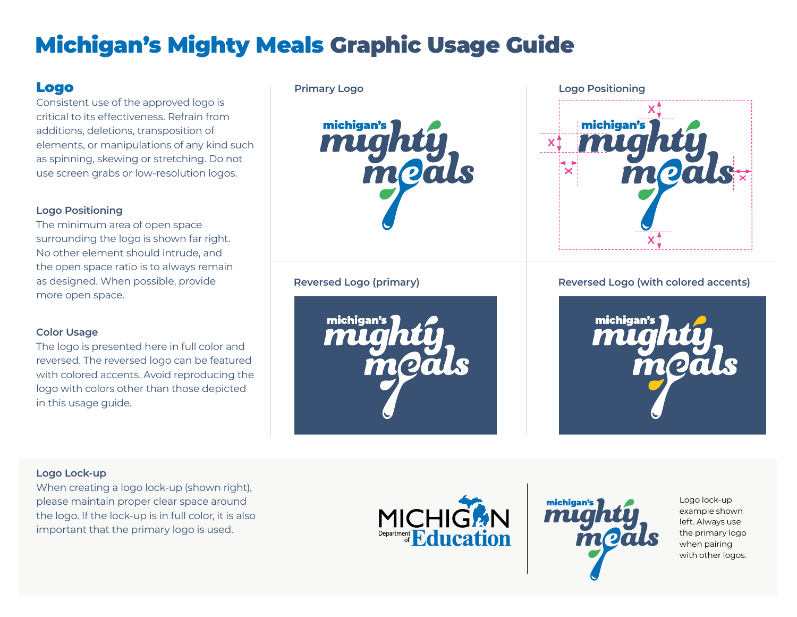# Michigan's Mighty Meals Graphic Usage Guide

# Logo

Consistent use of the approved logo is critical to its effectiveness. Refrain from additions, deletions, transposition of elements, or manipulations of any kind such as spinning, skewing or stretching. Do not use screen grabs or low-resolution logos.

## **Logo Positioning**

The minimum area of open space surrounding the logo is shown far right. No other element should intrude, and the open space ratio is to always remain as designed. When possible, provide more open space.

## **Color Usage**

The logo is presented here in full color and reversed. The reversed logo can be featured with colored accents. Avoid reproducing the logo with colors other than those depicted in this usage guide.



michigan's might mo



# **Reversed Logo (primary) Reversed Logo (with colored accents)**



## **Logo Lock-up**

When creating a logo lock-up (shown right), please maintain proper clear space around the logo. If the lock-up is in full color, it is also important that the primary logo is used.





 example shown Logo lock-up left. Always use the primary logo when pairing with other logos.